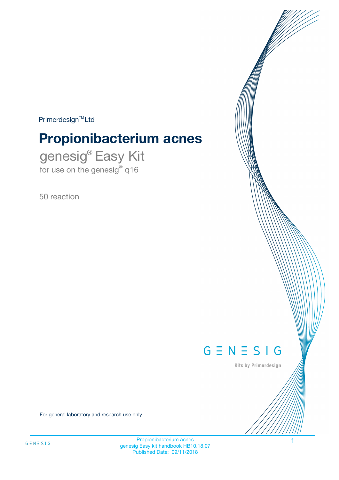$Primerdesign^{\text{TM}}Ltd$ 

# **Propionibacterium acnes**

genesig® Easy Kit for use on the genesig® q16

50 reaction



Kits by Primerdesign

For general laboratory and research use only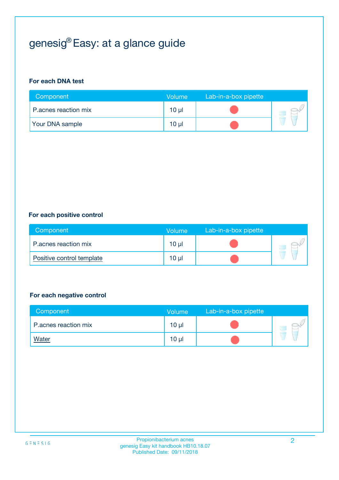# genesig® Easy: at a glance guide

#### **For each DNA test**

| Component              | <b>Volume</b>   | Lab-in-a-box pipette |  |
|------------------------|-----------------|----------------------|--|
| P.acnes reaction mix   | $10 \mu$        |                      |  |
| <b>Your DNA sample</b> | 10 <sub>µ</sub> |                      |  |

#### **For each positive control**

| Component                 | Volume          | Lab-in-a-box pipette |  |
|---------------------------|-----------------|----------------------|--|
| P.acnes reaction mix      | 10 µl           |                      |  |
| Positive control template | 10 <sub>µ</sub> |                      |  |

#### **For each negative control**

| Component            | Volume          | Lab-in-a-box pipette |  |
|----------------------|-----------------|----------------------|--|
| P.acnes reaction mix | 10 <sub>µ</sub> |                      |  |
| <b>Water</b>         | 10 <sub>µ</sub> |                      |  |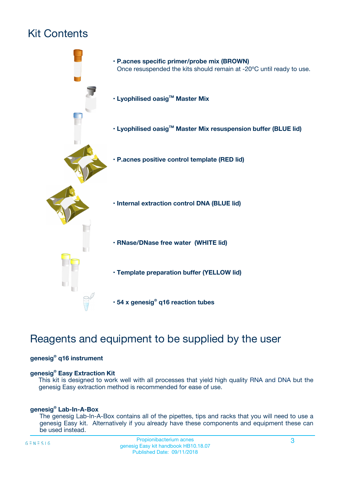# Kit Contents



# Reagents and equipment to be supplied by the user

#### **genesig® q16 instrument**

#### **genesig® Easy Extraction Kit**

This kit is designed to work well with all processes that yield high quality RNA and DNA but the genesig Easy extraction method is recommended for ease of use.

#### **genesig® Lab-In-A-Box**

The genesig Lab-In-A-Box contains all of the pipettes, tips and racks that you will need to use a genesig Easy kit. Alternatively if you already have these components and equipment these can be used instead.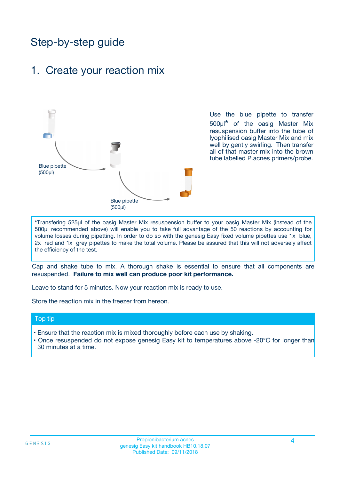# Step-by-step guide

### 1. Create your reaction mix



Use the blue pipette to transfer 500µl**\*** of the oasig Master Mix resuspension buffer into the tube of lyophilised oasig Master Mix and mix well by gently swirling. Then transfer all of that master mix into the brown tube labelled P.acnes primers/probe.

**\***Transfering 525µl of the oasig Master Mix resuspension buffer to your oasig Master Mix (instead of the 500µl recommended above) will enable you to take full advantage of the 50 reactions by accounting for volume losses during pipetting. In order to do so with the genesig Easy fixed volume pipettes use 1x blue, 2x red and 1x grey pipettes to make the total volume. Please be assured that this will not adversely affect the efficiency of the test.

Cap and shake tube to mix. A thorough shake is essential to ensure that all components are resuspended. **Failure to mix well can produce poor kit performance.**

Leave to stand for 5 minutes. Now your reaction mix is ready to use.

Store the reaction mix in the freezer from hereon.

#### Top tip

- Ensure that the reaction mix is mixed thoroughly before each use by shaking.
- **•** Once resuspended do not expose genesig Easy kit to temperatures above -20°C for longer than 30 minutes at a time.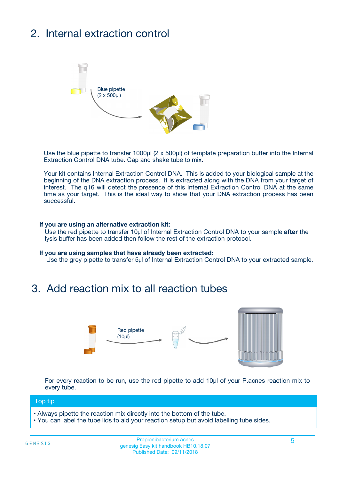# 2. Internal extraction control



Use the blue pipette to transfer 1000µl (2 x 500µl) of template preparation buffer into the Internal Extraction Control DNA tube. Cap and shake tube to mix.

Your kit contains Internal Extraction Control DNA. This is added to your biological sample at the beginning of the DNA extraction process. It is extracted along with the DNA from your target of interest. The q16 will detect the presence of this Internal Extraction Control DNA at the same time as your target. This is the ideal way to show that your DNA extraction process has been **successful.** 

#### **If you are using an alternative extraction kit:**

Use the red pipette to transfer 10µl of Internal Extraction Control DNA to your sample **after** the lysis buffer has been added then follow the rest of the extraction protocol.

#### **If you are using samples that have already been extracted:**

Use the grey pipette to transfer 5µl of Internal Extraction Control DNA to your extracted sample.

## 3. Add reaction mix to all reaction tubes



For every reaction to be run, use the red pipette to add 10µl of your P.acnes reaction mix to every tube.

#### Top tip

- Always pipette the reaction mix directly into the bottom of the tube.
- You can label the tube lids to aid your reaction setup but avoid labelling tube sides.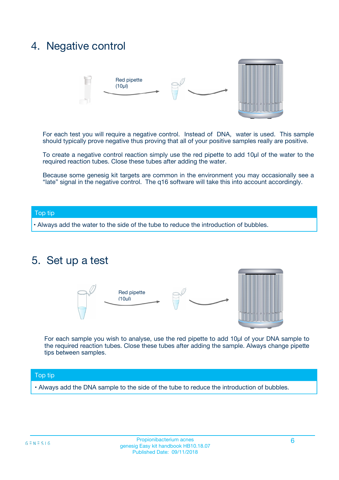## 4. Negative control



For each test you will require a negative control. Instead of DNA, water is used. This sample should typically prove negative thus proving that all of your positive samples really are positive.

To create a negative control reaction simply use the red pipette to add 10µl of the water to the required reaction tubes. Close these tubes after adding the water.

Because some genesig kit targets are common in the environment you may occasionally see a "late" signal in the negative control. The q16 software will take this into account accordingly.

#### Top tip

**•** Always add the water to the side of the tube to reduce the introduction of bubbles.

### 5. Set up a test



For each sample you wish to analyse, use the red pipette to add 10µl of your DNA sample to the required reaction tubes. Close these tubes after adding the sample. Always change pipette tips between samples.

#### Top tip

**•** Always add the DNA sample to the side of the tube to reduce the introduction of bubbles.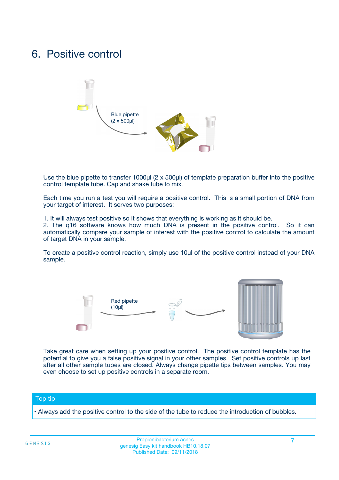## 6. Positive control



Use the blue pipette to transfer 1000µl (2 x 500µl) of template preparation buffer into the positive control template tube. Cap and shake tube to mix.

Each time you run a test you will require a positive control. This is a small portion of DNA from your target of interest. It serves two purposes:

1. It will always test positive so it shows that everything is working as it should be.

2. The q16 software knows how much DNA is present in the positive control. So it can automatically compare your sample of interest with the positive control to calculate the amount of target DNA in your sample.

To create a positive control reaction, simply use 10µl of the positive control instead of your DNA sample.



Take great care when setting up your positive control. The positive control template has the potential to give you a false positive signal in your other samples. Set positive controls up last after all other sample tubes are closed. Always change pipette tips between samples. You may even choose to set up positive controls in a separate room.

#### Top tip

**•** Always add the positive control to the side of the tube to reduce the introduction of bubbles.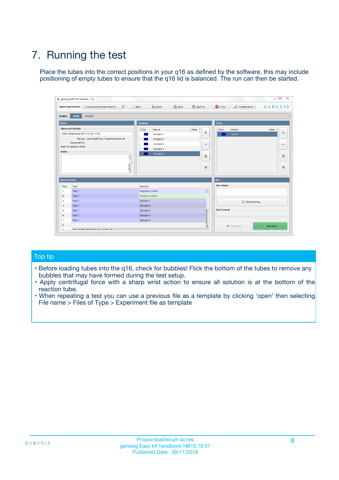# 7. Running the test

Place the tubes into the correct positions in your q16 as defined by the software, this may include positioning of empty tubes to ensure that the q16 lid is balanced. The run can then be started.

|                      | genesig q16 PCR software - 1.2                                               |                                |                              |                                          | $\begin{array}{c c c c} \hline \multicolumn{3}{c }{\textbf{0}} & \multicolumn{3}{c }{\textbf{0}} \end{array}$<br>$\Sigma\!3$ |
|----------------------|------------------------------------------------------------------------------|--------------------------------|------------------------------|------------------------------------------|------------------------------------------------------------------------------------------------------------------------------|
|                      | $\vert \cdot \vert$<br><b>Open Experiments:</b><br>Unsaved (New Experiment 2 | Open<br>Save<br>$\sqrt{9}$ New | Save As                      | <b>C</b> Close<br><b>X</b> Configuration | $G \equiv N \equiv S \mid G$                                                                                                 |
| <b>Stages:</b>       | Setup<br><b>Results</b>                                                      |                                |                              |                                          |                                                                                                                              |
| <b>Notes</b>         |                                                                              | <b>Samples</b>                 |                              | <b>Tests</b>                             |                                                                                                                              |
|                      | <b>Name and Details</b>                                                      | Color<br>Name                  | Note                         | Color<br>Name                            | Note                                                                                                                         |
|                      | New Experiment 2017-10-26 11:06                                              | Sample 1                       | ÷                            | Test 1                                   | ÷                                                                                                                            |
|                      | Kit type: genesig® Easy Target Detection kit                                 | Sample 2                       |                              |                                          |                                                                                                                              |
|                      | Instrument Id.:                                                              | Sample 3                       | $\qquad \qquad \blacksquare$ |                                          | $\qquad \qquad \blacksquare$                                                                                                 |
|                      | <b>Run Completion Time:</b>                                                  | Sample 4                       |                              |                                          |                                                                                                                              |
| <b>Notes</b>         | <b>A</b><br>v                                                                | Sample 5                       | $\triangle$<br>$\oplus$      |                                          | 4<br>₩                                                                                                                       |
| <b>Well Contents</b> |                                                                              |                                |                              | Run                                      |                                                                                                                              |
| Pos.                 | Test                                                                         | Sample                         |                              | <b>Run Status</b>                        |                                                                                                                              |
| $\overline{1}$       | Test 1                                                                       | <b>Negative Control</b>        | $\blacktriangle$             |                                          |                                                                                                                              |
| $\overline{2}$       | Test 1                                                                       | <b>Positive Control</b>        |                              |                                          |                                                                                                                              |
| 3                    | Test 1                                                                       | Sample 1                       |                              | Show full log                            |                                                                                                                              |
| $\overline{4}$       | Test 1                                                                       | Sample 2                       |                              |                                          |                                                                                                                              |
| 5                    | Test 1                                                                       | Sample 3                       |                              | <b>Run Control</b>                       |                                                                                                                              |
| 6                    | Test 1                                                                       | Sample 4                       |                              |                                          |                                                                                                                              |
| $\overline{7}$       | Test 1                                                                       | Sample 5                       |                              |                                          |                                                                                                                              |
| -8                   |                                                                              |                                |                              | Abort Run                                | $\triangleright$ Start Run                                                                                                   |
|                      | <b>JOB FURTY TURE TO BULLMAR LIB</b>                                         |                                | $\overline{\mathbf{v}}$      |                                          |                                                                                                                              |

#### Top tip

- Before loading tubes into the q16, check for bubbles! Flick the bottom of the tubes to remove any bubbles that may have formed during the test setup.
- Apply centrifugal force with a sharp wrist action to ensure all solution is at the bottom of the reaction tube.
- When repeating a test you can use a previous file as a template by clicking 'open' then selecting File name > Files of Type > Experiment file as template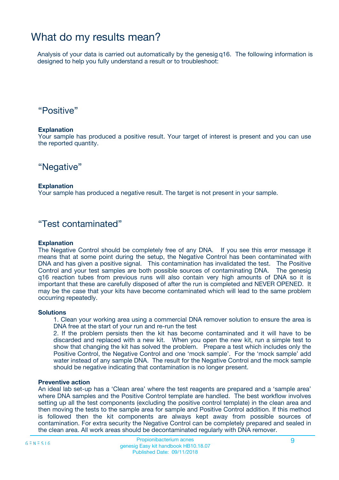## What do my results mean?

Analysis of your data is carried out automatically by the genesig q16. The following information is designed to help you fully understand a result or to troubleshoot:

### "Positive"

#### **Explanation**

Your sample has produced a positive result. Your target of interest is present and you can use the reported quantity.

"Negative"

#### **Explanation**

Your sample has produced a negative result. The target is not present in your sample.

### "Test contaminated"

#### **Explanation**

The Negative Control should be completely free of any DNA. If you see this error message it means that at some point during the setup, the Negative Control has been contaminated with DNA and has given a positive signal. This contamination has invalidated the test. The Positive Control and your test samples are both possible sources of contaminating DNA. The genesig q16 reaction tubes from previous runs will also contain very high amounts of DNA so it is important that these are carefully disposed of after the run is completed and NEVER OPENED. It may be the case that your kits have become contaminated which will lead to the same problem occurring repeatedly.

#### **Solutions**

1. Clean your working area using a commercial DNA remover solution to ensure the area is DNA free at the start of your run and re-run the test

2. If the problem persists then the kit has become contaminated and it will have to be discarded and replaced with a new kit. When you open the new kit, run a simple test to show that changing the kit has solved the problem. Prepare a test which includes only the Positive Control, the Negative Control and one 'mock sample'. For the 'mock sample' add water instead of any sample DNA. The result for the Negative Control and the mock sample should be negative indicating that contamination is no longer present.

#### **Preventive action**

An ideal lab set-up has a 'Clean area' where the test reagents are prepared and a 'sample area' where DNA samples and the Positive Control template are handled. The best workflow involves setting up all the test components (excluding the positive control template) in the clean area and then moving the tests to the sample area for sample and Positive Control addition. If this method is followed then the kit components are always kept away from possible sources of contamination. For extra security the Negative Control can be completely prepared and sealed in the clean area. All work areas should be decontaminated regularly with DNA remover.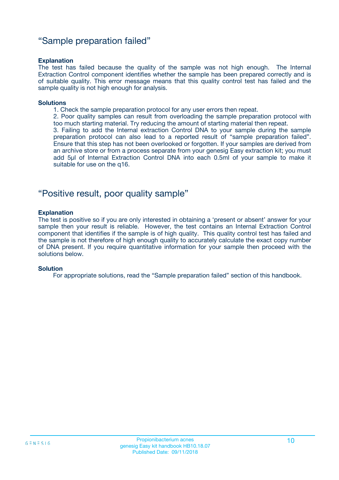### "Sample preparation failed"

#### **Explanation**

The test has failed because the quality of the sample was not high enough. The Internal Extraction Control component identifies whether the sample has been prepared correctly and is of suitable quality. This error message means that this quality control test has failed and the sample quality is not high enough for analysis.

#### **Solutions**

1. Check the sample preparation protocol for any user errors then repeat.

2. Poor quality samples can result from overloading the sample preparation protocol with too much starting material. Try reducing the amount of starting material then repeat.

3. Failing to add the Internal extraction Control DNA to your sample during the sample preparation protocol can also lead to a reported result of "sample preparation failed". Ensure that this step has not been overlooked or forgotten. If your samples are derived from an archive store or from a process separate from your genesig Easy extraction kit; you must add 5µl of Internal Extraction Control DNA into each 0.5ml of your sample to make it suitable for use on the q16.

### "Positive result, poor quality sample"

#### **Explanation**

The test is positive so if you are only interested in obtaining a 'present or absent' answer for your sample then your result is reliable. However, the test contains an Internal Extraction Control component that identifies if the sample is of high quality. This quality control test has failed and the sample is not therefore of high enough quality to accurately calculate the exact copy number of DNA present. If you require quantitative information for your sample then proceed with the solutions below.

#### **Solution**

For appropriate solutions, read the "Sample preparation failed" section of this handbook.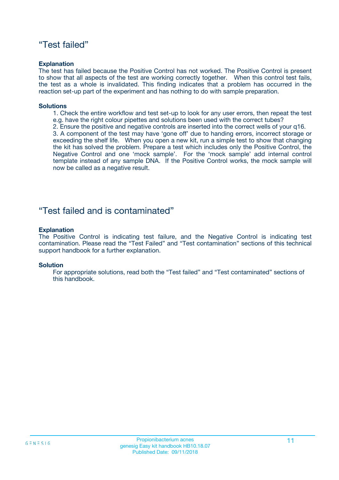### "Test failed"

#### **Explanation**

The test has failed because the Positive Control has not worked. The Positive Control is present to show that all aspects of the test are working correctly together. When this control test fails, the test as a whole is invalidated. This finding indicates that a problem has occurred in the reaction set-up part of the experiment and has nothing to do with sample preparation.

#### **Solutions**

- 1. Check the entire workflow and test set-up to look for any user errors, then repeat the test e.g. have the right colour pipettes and solutions been used with the correct tubes?
- 2. Ensure the positive and negative controls are inserted into the correct wells of your q16.

3. A component of the test may have 'gone off' due to handing errors, incorrect storage or exceeding the shelf life. When you open a new kit, run a simple test to show that changing the kit has solved the problem. Prepare a test which includes only the Positive Control, the Negative Control and one 'mock sample'. For the 'mock sample' add internal control template instead of any sample DNA. If the Positive Control works, the mock sample will now be called as a negative result.

### "Test failed and is contaminated"

#### **Explanation**

The Positive Control is indicating test failure, and the Negative Control is indicating test contamination. Please read the "Test Failed" and "Test contamination" sections of this technical support handbook for a further explanation.

#### **Solution**

For appropriate solutions, read both the "Test failed" and "Test contaminated" sections of this handbook.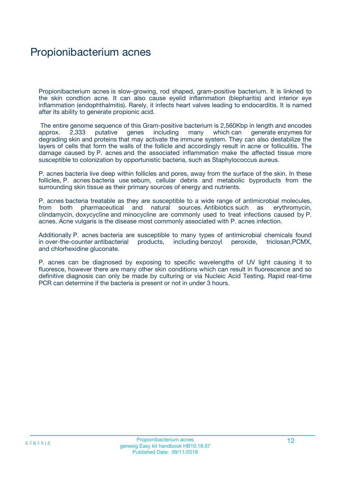## Propionibacterium acnes

Propionibacterium acnes is slow-growing, rod shaped, gram-positive bacterium. It is linkned to the skin condtion acne. It can also cause eyelid inflammation (blepharitis) and interior eye inflammation (endophthalmitis). Rarely, it infects heart valves leading to endocarditis. It is named after its ability to generate propionic acid.

 The entire genome sequence of this Gram-positive bacterium is 2,560Kbp in length and encodes approx. 2,333 putative genes including many which can generate enzymes for degrading skin and proteins that may activate the immune system. They can also destabilize the layers of cells that form the walls of the follicle and accordingly result in acne or folliculitis. The damage caused by P. acnes and the associated inflammation make the affected tissue more susceptible to colonization by opportunistic bacteria, such as Staphylococcus aureus.

P. acnes bacteria live deep within follicles and pores, away from the surface of the skin. In these follicles, P. acnes bacteria use sebum, cellular debris and metabolic byproducts from the surrounding skin tissue as their primary sources of energy and nutrients.

P. acnes bacteria treatable as they are susceptible to a wide range of antimicrobial molecules, from both pharmaceutical and natural sources. Antibiotics such as erythromycin, clindamycin, doxycycline and minocycline are commonly used to treat infections caused by P. acnes. Acne vulgaris is the disease most commonly associated with P. acnes infection.

Additionally P. acnes bacteria are susceptible to many types of antimicrobial chemicals found<br>in over-the-counter antibacterial products, including benzoyl peroxide, triclosan, PCMX, products, including benzoyl peroxide, triclosan,PCMX, and chlorhexidine gluconate.

P. acnes can be diagnosed by exposing to specific wavelengths of UV light causing it to fluoresce, however there are many other skin conditions which can result in fluorescence and so definitive diagnosis can only be made by culturing or via Nucleic Acid Testing. Rapid real-time PCR can determine if the bacteria is present or not in under 3 hours.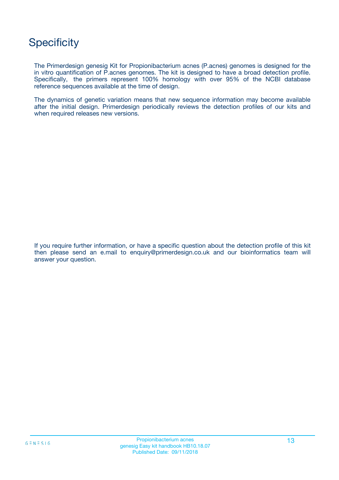# **Specificity**

The Primerdesign genesig Kit for Propionibacterium acnes (P.acnes) genomes is designed for the in vitro quantification of P.acnes genomes. The kit is designed to have a broad detection profile. Specifically, the primers represent 100% homology with over 95% of the NCBI database reference sequences available at the time of design.

The dynamics of genetic variation means that new sequence information may become available after the initial design. Primerdesign periodically reviews the detection profiles of our kits and when required releases new versions.

If you require further information, or have a specific question about the detection profile of this kit then please send an e.mail to enquiry@primerdesign.co.uk and our bioinformatics team will answer your question.